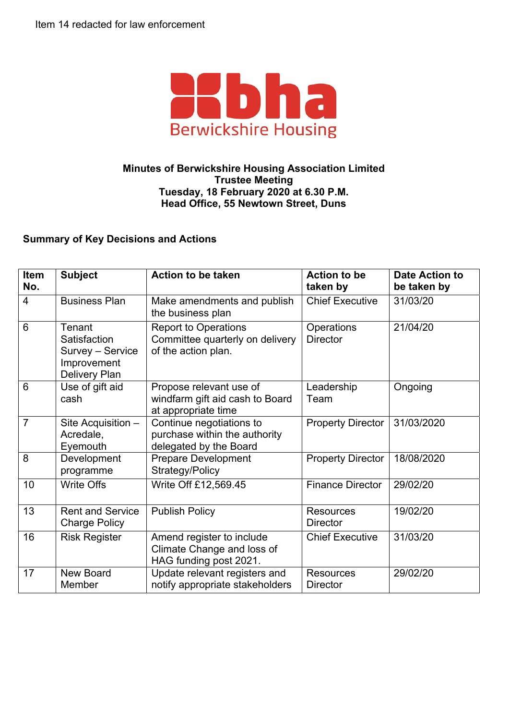

## **Minutes of Berwickshire Housing Association Limited Trustee Meeting Tuesday, 18 February 2020 at 6.30 P.M. Head Office, 55 Newtown Street, Duns**

## **Summary of Key Decisions and Actions**

| <b>Item</b><br>No. | <b>Subject</b>                                                                    | <b>Action to be taken</b>                                                             | <b>Action to be</b><br>taken by     | <b>Date Action to</b><br>be taken by |
|--------------------|-----------------------------------------------------------------------------------|---------------------------------------------------------------------------------------|-------------------------------------|--------------------------------------|
| $\overline{4}$     | <b>Business Plan</b>                                                              | Make amendments and publish<br>the business plan                                      | <b>Chief Executive</b>              | 31/03/20                             |
| $6\phantom{1}$     | Tenant<br>Satisfaction<br>Survey - Service<br>Improvement<br><b>Delivery Plan</b> | <b>Report to Operations</b><br>Committee quarterly on delivery<br>of the action plan. | Operations<br><b>Director</b>       | 21/04/20                             |
| 6                  | Use of gift aid<br>cash                                                           | Propose relevant use of<br>windfarm gift aid cash to Board<br>at appropriate time     | Leadership<br>Team                  | Ongoing                              |
| $\overline{7}$     | Site Acquisition -<br>Acredale,<br>Eyemouth                                       | Continue negotiations to<br>purchase within the authority<br>delegated by the Board   | <b>Property Director</b>            | 31/03/2020                           |
| 8                  | Development<br>programme                                                          | <b>Prepare Development</b><br>Strategy/Policy                                         | <b>Property Director</b>            | 18/08/2020                           |
| 10                 | <b>Write Offs</b>                                                                 | Write Off £12,569.45                                                                  | <b>Finance Director</b>             | 29/02/20                             |
| 13                 | <b>Rent and Service</b><br><b>Charge Policy</b>                                   | <b>Publish Policy</b>                                                                 | <b>Resources</b><br><b>Director</b> | 19/02/20                             |
| 16                 | <b>Risk Register</b>                                                              | Amend register to include<br>Climate Change and loss of<br>HAG funding post 2021.     | <b>Chief Executive</b>              | 31/03/20                             |
| 17                 | <b>New Board</b><br>Member                                                        | Update relevant registers and<br>notify appropriate stakeholders                      | <b>Resources</b><br><b>Director</b> | 29/02/20                             |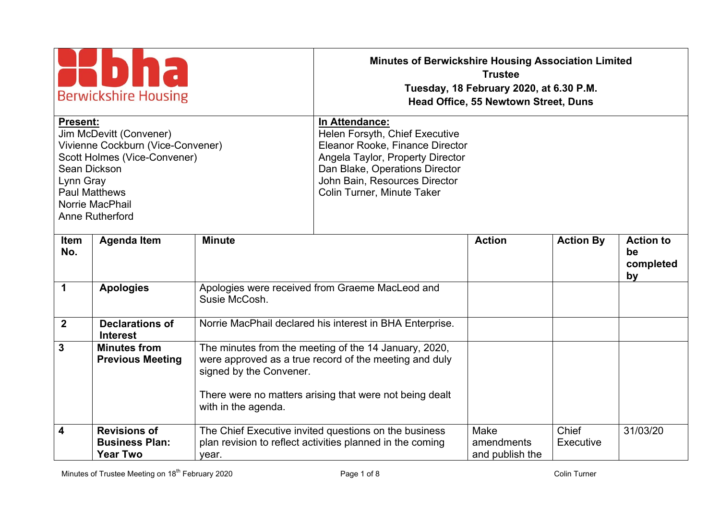| <b>Berwickshire Housing</b>                                                                                                                                                                                |                                                                 |                                                                                                                                                                                                                          | <b>Minutes of Berwickshire Housing Association Limited</b><br><b>Trustee</b><br>Tuesday, 18 February 2020, at 6.30 P.M.<br><b>Head Office, 55 Newtown Street, Duns</b>     |                                       |                    |                                           |
|------------------------------------------------------------------------------------------------------------------------------------------------------------------------------------------------------------|-----------------------------------------------------------------|--------------------------------------------------------------------------------------------------------------------------------------------------------------------------------------------------------------------------|----------------------------------------------------------------------------------------------------------------------------------------------------------------------------|---------------------------------------|--------------------|-------------------------------------------|
| Present:<br>Jim McDevitt (Convener)<br>Vivienne Cockburn (Vice-Convener)<br>Scott Holmes (Vice-Convener)<br>Sean Dickson<br>Lynn Gray<br><b>Paul Matthews</b><br>Norrie MacPhail<br><b>Anne Rutherford</b> |                                                                 | In Attendance:<br>Helen Forsyth, Chief Executive<br>Eleanor Rooke, Finance Director<br>Angela Taylor, Property Director<br>Dan Blake, Operations Director<br>John Bain, Resources Director<br>Colin Turner, Minute Taker |                                                                                                                                                                            |                                       |                    |                                           |
| Item<br>No.                                                                                                                                                                                                | <b>Agenda Item</b>                                              | <b>Minute</b>                                                                                                                                                                                                            |                                                                                                                                                                            | <b>Action</b>                         | <b>Action By</b>   | <b>Action to</b><br>be<br>completed<br>by |
| $\mathbf 1$                                                                                                                                                                                                | <b>Apologies</b>                                                | Susie McCosh.                                                                                                                                                                                                            | Apologies were received from Graeme MacLeod and                                                                                                                            |                                       |                    |                                           |
| $\overline{2}$                                                                                                                                                                                             | <b>Declarations of</b><br><b>Interest</b>                       |                                                                                                                                                                                                                          | Norrie MacPhail declared his interest in BHA Enterprise.                                                                                                                   |                                       |                    |                                           |
| $\mathbf{3}$                                                                                                                                                                                               | <b>Minutes from</b><br><b>Previous Meeting</b>                  | signed by the Convener.<br>with in the agenda.                                                                                                                                                                           | The minutes from the meeting of the 14 January, 2020,<br>were approved as a true record of the meeting and duly<br>There were no matters arising that were not being dealt |                                       |                    |                                           |
| $\overline{\mathbf{4}}$                                                                                                                                                                                    | <b>Revisions of</b><br><b>Business Plan:</b><br><b>Year Two</b> | year.                                                                                                                                                                                                                    | The Chief Executive invited questions on the business<br>plan revision to reflect activities planned in the coming                                                         | Make<br>amendments<br>and publish the | Chief<br>Executive | 31/03/20                                  |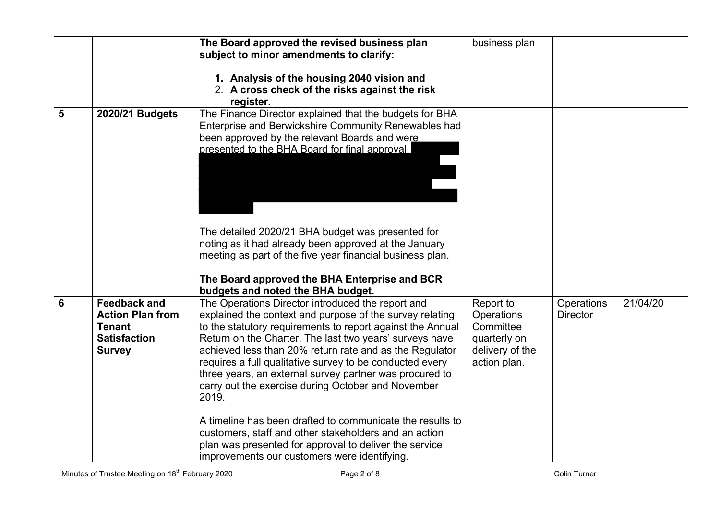|   |                                                                                                         | The Board approved the revised business plan                                                                                                                                                                                                                                                                                                                                                                                                                                            | business plan                                                                           |                               |          |
|---|---------------------------------------------------------------------------------------------------------|-----------------------------------------------------------------------------------------------------------------------------------------------------------------------------------------------------------------------------------------------------------------------------------------------------------------------------------------------------------------------------------------------------------------------------------------------------------------------------------------|-----------------------------------------------------------------------------------------|-------------------------------|----------|
|   |                                                                                                         | subject to minor amendments to clarify:                                                                                                                                                                                                                                                                                                                                                                                                                                                 |                                                                                         |                               |          |
|   |                                                                                                         | 1. Analysis of the housing 2040 vision and<br>2. A cross check of the risks against the risk<br>register.                                                                                                                                                                                                                                                                                                                                                                               |                                                                                         |                               |          |
| 5 | 2020/21 Budgets                                                                                         | The Finance Director explained that the budgets for BHA<br>Enterprise and Berwickshire Community Renewables had<br>been approved by the relevant Boards and were<br>presented to the BHA Board for final approval.                                                                                                                                                                                                                                                                      |                                                                                         |                               |          |
|   |                                                                                                         | The detailed 2020/21 BHA budget was presented for<br>noting as it had already been approved at the January<br>meeting as part of the five year financial business plan.<br>The Board approved the BHA Enterprise and BCR<br>budgets and noted the BHA budget.                                                                                                                                                                                                                           |                                                                                         |                               |          |
| 6 | <b>Feedback and</b><br><b>Action Plan from</b><br><b>Tenant</b><br><b>Satisfaction</b><br><b>Survey</b> | The Operations Director introduced the report and<br>explained the context and purpose of the survey relating<br>to the statutory requirements to report against the Annual<br>Return on the Charter. The last two years' surveys have<br>achieved less than 20% return rate and as the Regulator<br>requires a full qualitative survey to be conducted every<br>three years, an external survey partner was procured to<br>carry out the exercise during October and November<br>2019. | Report to<br>Operations<br>Committee<br>quarterly on<br>delivery of the<br>action plan. | Operations<br><b>Director</b> | 21/04/20 |
|   |                                                                                                         | A timeline has been drafted to communicate the results to<br>customers, staff and other stakeholders and an action<br>plan was presented for approval to deliver the service<br>improvements our customers were identifying.                                                                                                                                                                                                                                                            |                                                                                         |                               |          |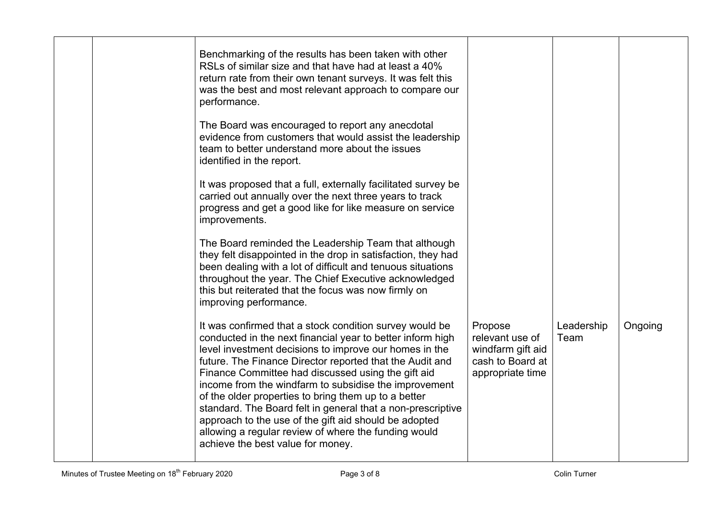|  | Benchmarking of the results has been taken with other<br>RSLs of similar size and that have had at least a 40%<br>return rate from their own tenant surveys. It was felt this<br>was the best and most relevant approach to compare our<br>performance.<br>The Board was encouraged to report any anecdotal<br>evidence from customers that would assist the leadership<br>team to better understand more about the issues<br>identified in the report.<br>It was proposed that a full, externally facilitated survey be<br>carried out annually over the next three years to track<br>progress and get a good like for like measure on service<br>improvements.<br>The Board reminded the Leadership Team that although<br>they felt disappointed in the drop in satisfaction, they had<br>been dealing with a lot of difficult and tenuous situations<br>throughout the year. The Chief Executive acknowledged<br>this but reiterated that the focus was now firmly on<br>improving performance. |                                                                                         |                    |         |
|--|----------------------------------------------------------------------------------------------------------------------------------------------------------------------------------------------------------------------------------------------------------------------------------------------------------------------------------------------------------------------------------------------------------------------------------------------------------------------------------------------------------------------------------------------------------------------------------------------------------------------------------------------------------------------------------------------------------------------------------------------------------------------------------------------------------------------------------------------------------------------------------------------------------------------------------------------------------------------------------------------------|-----------------------------------------------------------------------------------------|--------------------|---------|
|  | It was confirmed that a stock condition survey would be<br>conducted in the next financial year to better inform high<br>level investment decisions to improve our homes in the<br>future. The Finance Director reported that the Audit and<br>Finance Committee had discussed using the gift aid<br>income from the windfarm to subsidise the improvement<br>of the older properties to bring them up to a better<br>standard. The Board felt in general that a non-prescriptive<br>approach to the use of the gift aid should be adopted<br>allowing a regular review of where the funding would<br>achieve the best value for money.                                                                                                                                                                                                                                                                                                                                                            | Propose<br>relevant use of<br>windfarm gift aid<br>cash to Board at<br>appropriate time | Leadership<br>Team | Ongoing |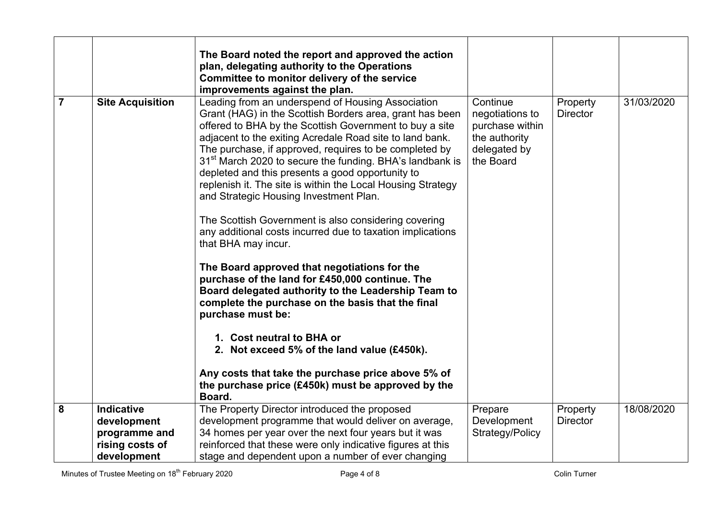|                |                         | The Board noted the report and approved the action                                                                                                                                                                                                                                                                                                                                                                                                                                                                                                                                                                                                                                                                                                                                                                                                                                                                                                                                                                                                                                                           |                                                                                              |                             |            |
|----------------|-------------------------|--------------------------------------------------------------------------------------------------------------------------------------------------------------------------------------------------------------------------------------------------------------------------------------------------------------------------------------------------------------------------------------------------------------------------------------------------------------------------------------------------------------------------------------------------------------------------------------------------------------------------------------------------------------------------------------------------------------------------------------------------------------------------------------------------------------------------------------------------------------------------------------------------------------------------------------------------------------------------------------------------------------------------------------------------------------------------------------------------------------|----------------------------------------------------------------------------------------------|-----------------------------|------------|
|                |                         | plan, delegating authority to the Operations                                                                                                                                                                                                                                                                                                                                                                                                                                                                                                                                                                                                                                                                                                                                                                                                                                                                                                                                                                                                                                                                 |                                                                                              |                             |            |
|                |                         | Committee to monitor delivery of the service                                                                                                                                                                                                                                                                                                                                                                                                                                                                                                                                                                                                                                                                                                                                                                                                                                                                                                                                                                                                                                                                 |                                                                                              |                             |            |
|                |                         | improvements against the plan.                                                                                                                                                                                                                                                                                                                                                                                                                                                                                                                                                                                                                                                                                                                                                                                                                                                                                                                                                                                                                                                                               |                                                                                              |                             |            |
| $\overline{7}$ | <b>Site Acquisition</b> | Leading from an underspend of Housing Association<br>Grant (HAG) in the Scottish Borders area, grant has been<br>offered to BHA by the Scottish Government to buy a site<br>adjacent to the exiting Acredale Road site to land bank.<br>The purchase, if approved, requires to be completed by<br>31 <sup>st</sup> March 2020 to secure the funding. BHA's landbank is<br>depleted and this presents a good opportunity to<br>replenish it. The site is within the Local Housing Strategy<br>and Strategic Housing Investment Plan.<br>The Scottish Government is also considering covering<br>any additional costs incurred due to taxation implications<br>that BHA may incur.<br>The Board approved that negotiations for the<br>purchase of the land for £450,000 continue. The<br>Board delegated authority to the Leadership Team to<br>complete the purchase on the basis that the final<br>purchase must be:<br>1. Cost neutral to BHA or<br>2. Not exceed 5% of the land value (£450k).<br>Any costs that take the purchase price above 5% of<br>the purchase price (£450k) must be approved by the | Continue<br>negotiations to<br>purchase within<br>the authority<br>delegated by<br>the Board | Property<br><b>Director</b> | 31/03/2020 |
| 8              | <b>Indicative</b>       | Board.<br>The Property Director introduced the proposed                                                                                                                                                                                                                                                                                                                                                                                                                                                                                                                                                                                                                                                                                                                                                                                                                                                                                                                                                                                                                                                      | Prepare                                                                                      | Property                    | 18/08/2020 |
|                | development             | development programme that would deliver on average,                                                                                                                                                                                                                                                                                                                                                                                                                                                                                                                                                                                                                                                                                                                                                                                                                                                                                                                                                                                                                                                         | Development                                                                                  | <b>Director</b>             |            |
|                | programme and           | 34 homes per year over the next four years but it was                                                                                                                                                                                                                                                                                                                                                                                                                                                                                                                                                                                                                                                                                                                                                                                                                                                                                                                                                                                                                                                        | Strategy/Policy                                                                              |                             |            |
|                | rising costs of         | reinforced that these were only indicative figures at this                                                                                                                                                                                                                                                                                                                                                                                                                                                                                                                                                                                                                                                                                                                                                                                                                                                                                                                                                                                                                                                   |                                                                                              |                             |            |
|                | development             | stage and dependent upon a number of ever changing                                                                                                                                                                                                                                                                                                                                                                                                                                                                                                                                                                                                                                                                                                                                                                                                                                                                                                                                                                                                                                                           |                                                                                              |                             |            |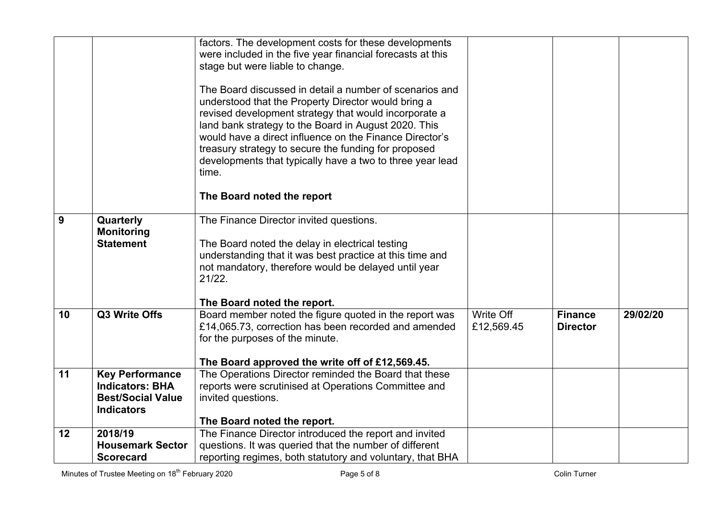|    |                                                    | factors. The development costs for these developments<br>were included in the five year financial forecasts at this<br>stage but were liable to change.<br>The Board discussed in detail a number of scenarios and<br>understood that the Property Director would bring a<br>revised development strategy that would incorporate a<br>land bank strategy to the Board in August 2020. This<br>would have a direct influence on the Finance Director's<br>treasury strategy to secure the funding for proposed |                         |                                   |          |
|----|----------------------------------------------------|---------------------------------------------------------------------------------------------------------------------------------------------------------------------------------------------------------------------------------------------------------------------------------------------------------------------------------------------------------------------------------------------------------------------------------------------------------------------------------------------------------------|-------------------------|-----------------------------------|----------|
|    |                                                    | developments that typically have a two to three year lead<br>time.                                                                                                                                                                                                                                                                                                                                                                                                                                            |                         |                                   |          |
|    |                                                    | The Board noted the report                                                                                                                                                                                                                                                                                                                                                                                                                                                                                    |                         |                                   |          |
| 9  | Quarterly<br><b>Monitoring</b><br><b>Statement</b> | The Finance Director invited questions.<br>The Board noted the delay in electrical testing<br>understanding that it was best practice at this time and<br>not mandatory, therefore would be delayed until year<br>21/22.                                                                                                                                                                                                                                                                                      |                         |                                   |          |
|    |                                                    | The Board noted the report.                                                                                                                                                                                                                                                                                                                                                                                                                                                                                   |                         |                                   |          |
| 10 | Q3 Write Offs                                      | Board member noted the figure quoted in the report was<br>£14,065.73, correction has been recorded and amended<br>for the purposes of the minute.                                                                                                                                                                                                                                                                                                                                                             | Write Off<br>£12,569.45 | <b>Finance</b><br><b>Director</b> | 29/02/20 |
|    |                                                    | The Board approved the write off of £12,569.45.                                                                                                                                                                                                                                                                                                                                                                                                                                                               |                         |                                   |          |
| 11 | <b>Key Performance</b><br><b>Indicators: BHA</b>   | The Operations Director reminded the Board that these<br>reports were scrutinised at Operations Committee and                                                                                                                                                                                                                                                                                                                                                                                                 |                         |                                   |          |
|    | <b>Best/Social Value</b>                           | invited questions.                                                                                                                                                                                                                                                                                                                                                                                                                                                                                            |                         |                                   |          |
|    | <b>Indicators</b>                                  |                                                                                                                                                                                                                                                                                                                                                                                                                                                                                                               |                         |                                   |          |
|    |                                                    | The Board noted the report.                                                                                                                                                                                                                                                                                                                                                                                                                                                                                   |                         |                                   |          |
| 12 | 2018/19                                            | The Finance Director introduced the report and invited                                                                                                                                                                                                                                                                                                                                                                                                                                                        |                         |                                   |          |
|    | <b>Housemark Sector</b>                            | questions. It was queried that the number of different                                                                                                                                                                                                                                                                                                                                                                                                                                                        |                         |                                   |          |
|    | <b>Scorecard</b>                                   | reporting regimes, both statutory and voluntary, that BHA                                                                                                                                                                                                                                                                                                                                                                                                                                                     |                         |                                   |          |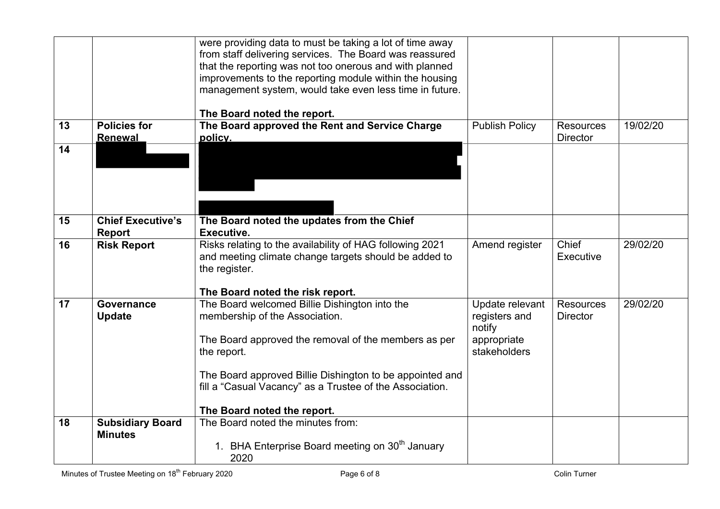|    |                                           | were providing data to must be taking a lot of time away<br>from staff delivering services. The Board was reassured<br>that the reporting was not too onerous and with planned<br>improvements to the reporting module within the housing<br>management system, would take even less time in future. |                                                                           |                                     |          |
|----|-------------------------------------------|------------------------------------------------------------------------------------------------------------------------------------------------------------------------------------------------------------------------------------------------------------------------------------------------------|---------------------------------------------------------------------------|-------------------------------------|----------|
| 13 | <b>Policies for</b>                       | The Board noted the report.<br>The Board approved the Rent and Service Charge                                                                                                                                                                                                                        | <b>Publish Policy</b>                                                     | <b>Resources</b>                    | 19/02/20 |
|    | <b>Renewal</b>                            | policy.                                                                                                                                                                                                                                                                                              |                                                                           | <b>Director</b>                     |          |
| 14 |                                           |                                                                                                                                                                                                                                                                                                      |                                                                           |                                     |          |
| 15 | <b>Chief Executive's</b>                  | The Board noted the updates from the Chief                                                                                                                                                                                                                                                           |                                                                           |                                     |          |
|    | Report                                    | Executive.                                                                                                                                                                                                                                                                                           |                                                                           |                                     |          |
| 16 | <b>Risk Report</b>                        | Risks relating to the availability of HAG following 2021<br>and meeting climate change targets should be added to<br>the register.                                                                                                                                                                   | Amend register                                                            | Chief<br>Executive                  | 29/02/20 |
|    |                                           | The Board noted the risk report.                                                                                                                                                                                                                                                                     |                                                                           |                                     |          |
| 17 | Governance<br><b>Update</b>               | The Board welcomed Billie Dishington into the<br>membership of the Association.<br>The Board approved the removal of the members as per<br>the report.                                                                                                                                               | Update relevant<br>registers and<br>notify<br>appropriate<br>stakeholders | <b>Resources</b><br><b>Director</b> | 29/02/20 |
|    |                                           | The Board approved Billie Dishington to be appointed and<br>fill a "Casual Vacancy" as a Trustee of the Association.                                                                                                                                                                                 |                                                                           |                                     |          |
|    |                                           | The Board noted the report.                                                                                                                                                                                                                                                                          |                                                                           |                                     |          |
| 18 | <b>Subsidiary Board</b><br><b>Minutes</b> | The Board noted the minutes from:<br>1. BHA Enterprise Board meeting on 30 <sup>th</sup> January                                                                                                                                                                                                     |                                                                           |                                     |          |
|    |                                           | 2020                                                                                                                                                                                                                                                                                                 |                                                                           |                                     |          |